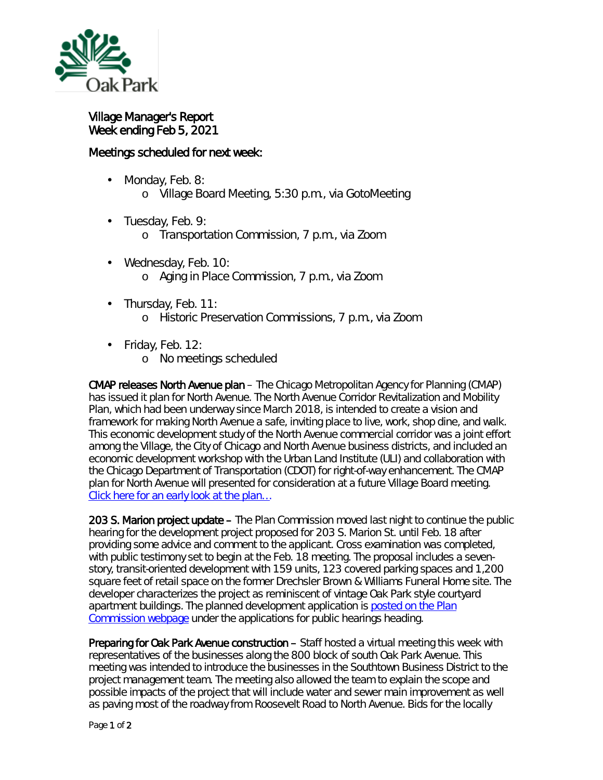

Village Manager's Report Week ending Feb 5, 2021

## Meetings scheduled for next week:

- Monday, Feb. 8: ä,
	- o Village Board Meeting, 5:30 p.m., via GotoMeeting
- Tuesday, Feb. 9:
	- o Transportation Commission, 7 p.m., via Zoom
- Wednesday, Feb. 10: o Aging in Place Commission, 7 p.m., via Zoom
- Thursday, Feb. 11:
	- o Historic Preservation Commissions, 7 p.m., via Zoom
- Friday, Feb. 12:  $\mathbf{r}$ 
	- o No meetings scheduled

CMAP releases North Avenue plan – The Chicago Metropolitan Agency for Planning (CMAP) has issued it plan for North Avenue. The *North Avenue Corridor Revitalization and Mobility Plan,* which had been underway since March 2018, is intended to create a vision and framework for making North Avenue a safe, inviting place to live, work, shop dine, and walk. This economic development study of the North Avenue commercial corridor was a joint effort among the Village, the City of Chicago and North Avenue business districts, and included an economic development workshop with the Urban Land Institute (ULI) and collaboration with the Chicago Department of Transportation (CDOT) for right-of-way enhancement. The CMAP plan for North Avenue will presented for consideration at a future Village Board meeting. [Click here for an early look at the plan…](https://www.oak-park.us/sites/default/files/456678891/2021-02-02-north_avenue_corridor_revitalization_and_mobility_plan_final.pdf)

203 S. Marion project update – The Plan Commission moved last night to continue the public hearing for the development project proposed for 203 S. Marion St. until Feb. 18 after providing some advice and comment to the applicant. Cross examination was completed, with public testimony set to begin at the Feb. 18 meeting. The proposal includes a sevenstory, transit-oriented development with 159 units, 123 covered parking spaces and 1,200 square feet of retail space on the former Drechsler Brown & Williams Funeral Home site. The developer characterizes the project as reminiscent of vintage Oak Park style courtyard apartment buildings. The planned development application is posted on the Plan [Commission webpage](https://www.oak-park.us/your-government/citizen-commissions/plan-commission) under the applications for public hearings heading.

Preparing for Oak Park Avenue construction – Staff hosted a virtual meeting this week with representatives of the businesses along the 800 block of south Oak Park Avenue. This meeting was intended to introduce the businesses in the Southtown Business District to the project management team. The meeting also allowed the team to explain the scope and possible impacts of the project that will include water and sewer main improvement as well as paving most of the roadway from Roosevelt Road to North Avenue. Bids for the locally